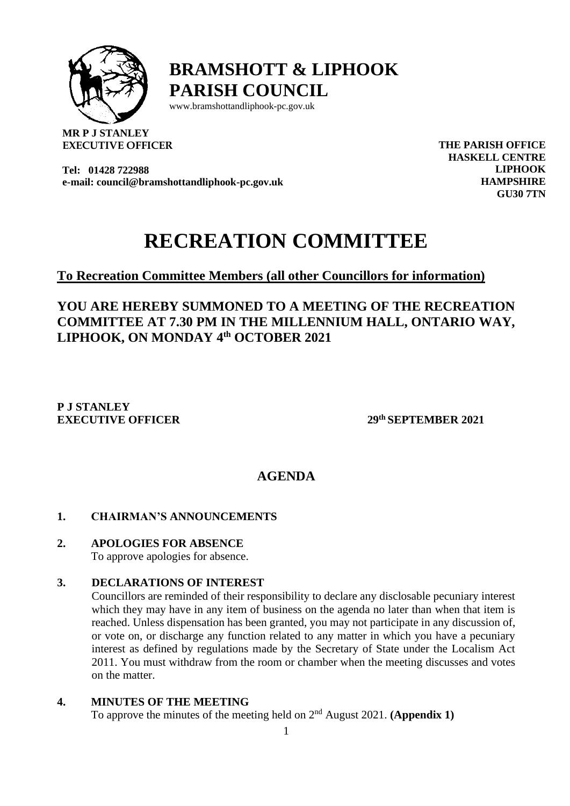

**BRAMSHOTT & LIPHOOK PARISH COUNCIL**

[www.bramshottandl](http://www.bramshottand/)iphook-pc.gov.uk

**MR P J STANLEY EXECUTIVE OFFICER**

**Tel: 01428 722988 e-mail: council@bramshottandliphook-pc.gov.uk** **THE PARISH OFFICE HASKELL CENTRE LIPHOOK HAMPSHIRE GU30 7TN**

# **RECREATION COMMITTEE**

# **To Recreation Committee Members (all other Councillors for information)**

**YOU ARE HEREBY SUMMONED TO A MEETING OF THE RECREATION COMMITTEE AT 7.30 PM IN THE MILLENNIUM HALL, ONTARIO WAY, LIPHOOK, ON MONDAY 4 th OCTOBER 2021**

## **P J STANLEY EXECUTIVE OFFICER 29**

**th SEPTEMBER 2021**

# **AGENDA**

# **1. CHAIRMAN'S ANNOUNCEMENTS**

**2. APOLOGIES FOR ABSENCE**

To approve apologies for absence.

## **3. DECLARATIONS OF INTEREST**

Councillors are reminded of their responsibility to declare any disclosable pecuniary interest which they may have in any item of business on the agenda no later than when that item is reached. Unless dispensation has been granted, you may not participate in any discussion of, or vote on, or discharge any function related to any matter in which you have a pecuniary interest as defined by regulations made by the Secretary of State under the Localism Act 2011. You must withdraw from the room or chamber when the meeting discusses and votes on the matter.

## **4. MINUTES OF THE MEETING** To approve the minutes of the meeting held on  $2<sup>nd</sup>$  August 2021. **(Appendix 1)**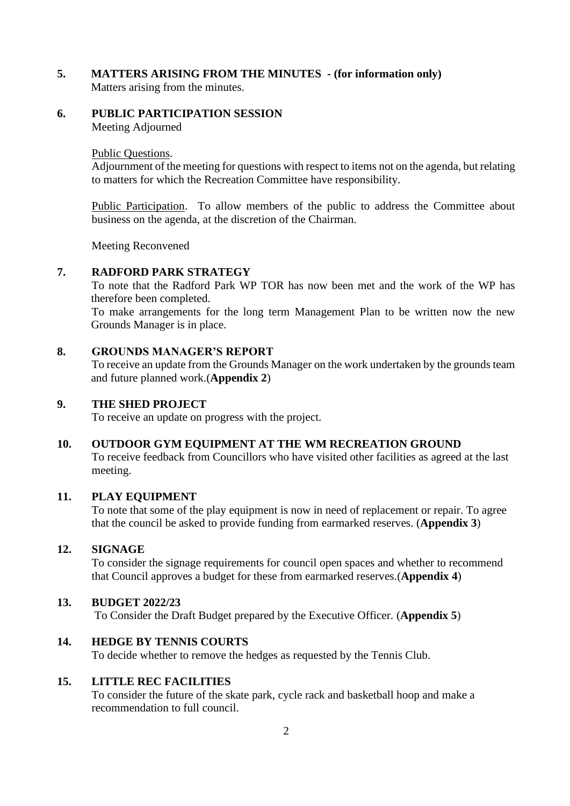- **5. MATTERS ARISING FROM THE MINUTES - (for information only)** Matters arising from the minutes.
- **6. PUBLIC PARTICIPATION SESSION**  Meeting Adjourned

Public Questions.

Adjournment of the meeting for questions with respect to items not on the agenda, but relating to matters for which the Recreation Committee have responsibility.

Public Participation. To allow members of the public to address the Committee about business on the agenda, at the discretion of the Chairman.

Meeting Reconvened

#### **7. RADFORD PARK STRATEGY**

To note that the Radford Park WP TOR has now been met and the work of the WP has therefore been completed.

To make arrangements for the long term Management Plan to be written now the new Grounds Manager is in place.

## **8. GROUNDS MANAGER'S REPORT**

To receive an update from the Grounds Manager on the work undertaken by the grounds team and future planned work.(**Appendix 2**)

### **9. THE SHED PROJECT**

To receive an update on progress with the project.

#### **10. OUTDOOR GYM EQUIPMENT AT THE WM RECREATION GROUND**

To receive feedback from Councillors who have visited other facilities as agreed at the last meeting.

#### **11. PLAY EQUIPMENT**

To note that some of the play equipment is now in need of replacement or repair. To agree that the council be asked to provide funding from earmarked reserves. (**Appendix 3**)

#### **12. SIGNAGE**

To consider the signage requirements for council open spaces and whether to recommend that Council approves a budget for these from earmarked reserves.(**Appendix 4**)

#### **13. BUDGET 2022/23**

To Consider the Draft Budget prepared by the Executive Officer. (**Appendix 5**)

#### **14. HEDGE BY TENNIS COURTS**

To decide whether to remove the hedges as requested by the Tennis Club.

### **15. LITTLE REC FACILITIES**

To consider the future of the skate park, cycle rack and basketball hoop and make a recommendation to full council.